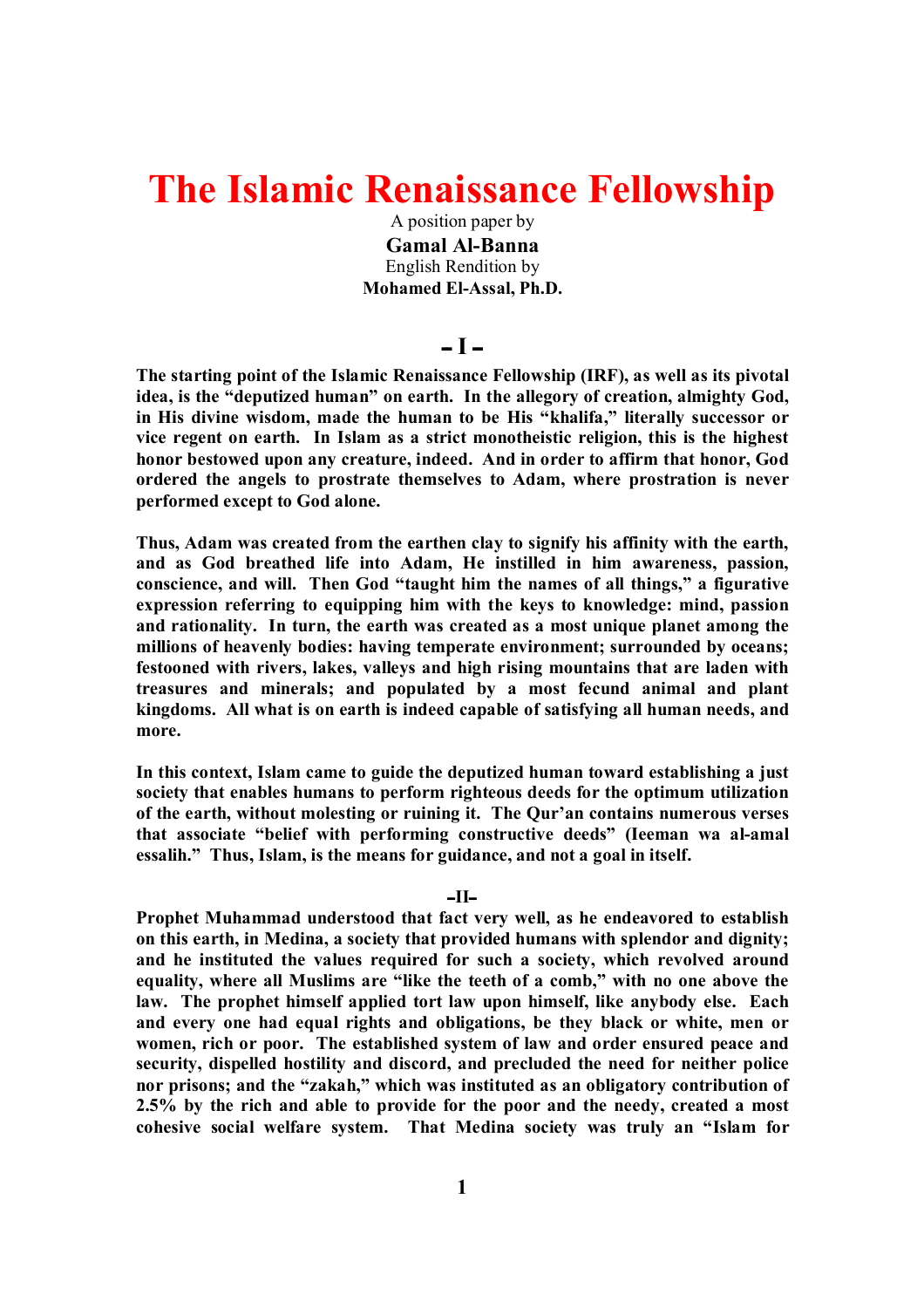# **The Islamic Renaissance Fellowship**

A position paper by **Gamal Al-Banna** English Rendition by **Mohamed El-Assal, Ph.D.**

# **ــ I ــ**

**The starting point of the Islamic Renaissance Fellowship (IRF), as well as its pivotal idea, is the "deputized human" on earth. In the allegory of creation, almighty God, in His divine wisdom, made the human to be His "khalifa," literally successor or vice regent on earth. In Islam as a strict monotheistic religion, this is the highest honor bestowed upon any creature, indeed. And in order to affirm that honor, God ordered the angels to prostrate themselves to Adam, where prostration is never performed except to God alone.**

**Thus, Adam was created from the earthen clay to signify his affinity with the earth, and as God breathed life into Adam, He instilled in him awareness, passion, conscience, and will. Then God "taught him the names of all things," a figurative expression referring to equipping him with the keys to knowledge: mind, passion and rationality. In turn, the earth was created as a most unique planet among the millions of heavenly bodies: having temperate environment; surrounded by oceans; festooned with rivers, lakes, valleys and high rising mountains that are laden with treasures and minerals; and populated by a most fecund animal and plant kingdoms. All what is on earth is indeed capable of satisfying all human needs, and more.**

**In this context, Islam came to guide the deputized human toward establishing a just society that enables humans to perform righteous deeds for the optimum utilization of the earth, without molesting or ruining it. The Qur'an contains numerous verses that associate "belief with performing constructive deeds" (Ieeman wa al-amal essalih." Thus, Islam, is the means for guidance, and not a goal in itself.**

#### **ــIIــ**

**Prophet Muhammad understood that fact very well, as he endeavored to establish on this earth, in Medina, a society that provided humans with splendor and dignity; and he instituted the values required for such a society, which revolved around equality, where all Muslims are "like the teeth of a comb," with no one above the law. The prophet himself applied tort law upon himself, like anybody else. Each and every one had equal rights and obligations, be they black or white, men or women, rich or poor. The established system of law and order ensured peace and security, dispelled hostility and discord, and precluded the need for neither police nor prisons; and the "zakah," which was instituted as an obligatory contribution of 2.5% by the rich and able to provide for the poor and the needy, created a most cohesive social welfare system. That Medina society was truly an "Islam for**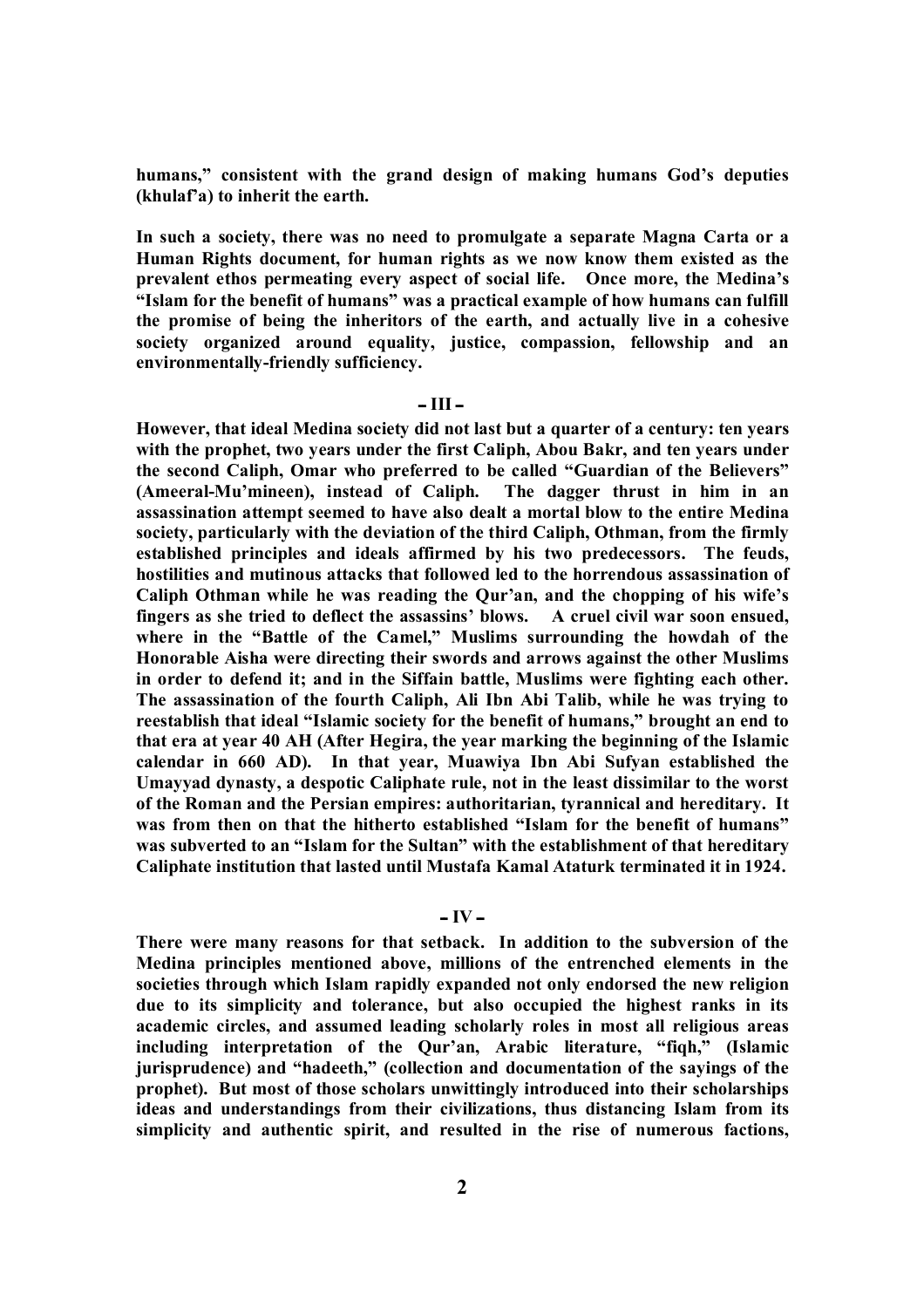**humans," consistent with the grand design of making humans God's deputies (khulaf'a) to inherit the earth.** 

**In such a society, there was no need to promulgate a separate Magna Carta or a Human Rights document, for human rights as we now know them existed as the prevalent ethos permeating every aspect of social life. Once more, the Medina's "Islam for the benefit of humans" was a practical example of how humans can fulfill the promise of being the inheritors of the earth, and actually live in a cohesive society organized around equality, justice, compassion, fellowship and an environmentally-friendly sufficiency.**

# **ــ III ــ**

**However, that ideal Medina society did not last but a quarter of a century: ten years with the prophet, two years under the first Caliph, Abou Bakr, and ten years under the second Caliph, Omar who preferred to be called "Guardian of the Believers" (Ameeral-Mu'mineen), instead of Caliph. The dagger thrust in him in an assassination attempt seemed to have also dealt a mortal blow to the entire Medina society, particularly with the deviation of the third Caliph, Othman, from the firmly established principles and ideals affirmed by his two predecessors. The feuds, hostilities and mutinous attacks that followed led to the horrendous assassination of Caliph Othman while he was reading the Qur'an, and the chopping of his wife's fingers as she tried to deflect the assassins' blows. A cruel civil war soon ensued, where in the "Battle of the Camel," Muslims surrounding the howdah of the Honorable Aisha were directing their swords and arrows against the other Muslims in order to defend it; and in the Siffain battle, Muslims were fighting each other. The assassination of the fourth Caliph, Ali Ibn Abi Talib, while he was trying to reestablish that ideal "Islamic society for the benefit of humans," brought an end to that era at year 40 AH (After Hegira, the year marking the beginning of the Islamic calendar in 660 AD). In that year, Muawiya Ibn Abi Sufyan established the Umayyad dynasty, a despotic Caliphate rule, not in the least dissimilar to the worst of the Roman and the Persian empires: authoritarian, tyrannical and hereditary. It was from then on that the hitherto established "Islam for the benefit of humans" was subverted to an "Islam for the Sultan" with the establishment of that hereditary Caliphate institution that lasted until Mustafa Kamal Ataturk terminated it in 1924.**

#### **ــ IV ــ**

**There were many reasons for that setback. In addition to the subversion of the Medina principles mentioned above, millions of the entrenched elements in the societies through which Islam rapidly expanded not only endorsed the new religion due to its simplicity and tolerance, but also occupied the highest ranks in its academic circles, and assumed leading scholarly roles in most all religious areas including interpretation of the Qur'an, Arabic literature, "fiqh," (Islamic jurisprudence) and "hadeeth," (collection and documentation of the sayings of the prophet). But most of those scholars unwittingly introduced into their scholarships ideas and understandings from their civilizations, thus distancing Islam from its simplicity and authentic spirit, and resulted in the rise of numerous factions,**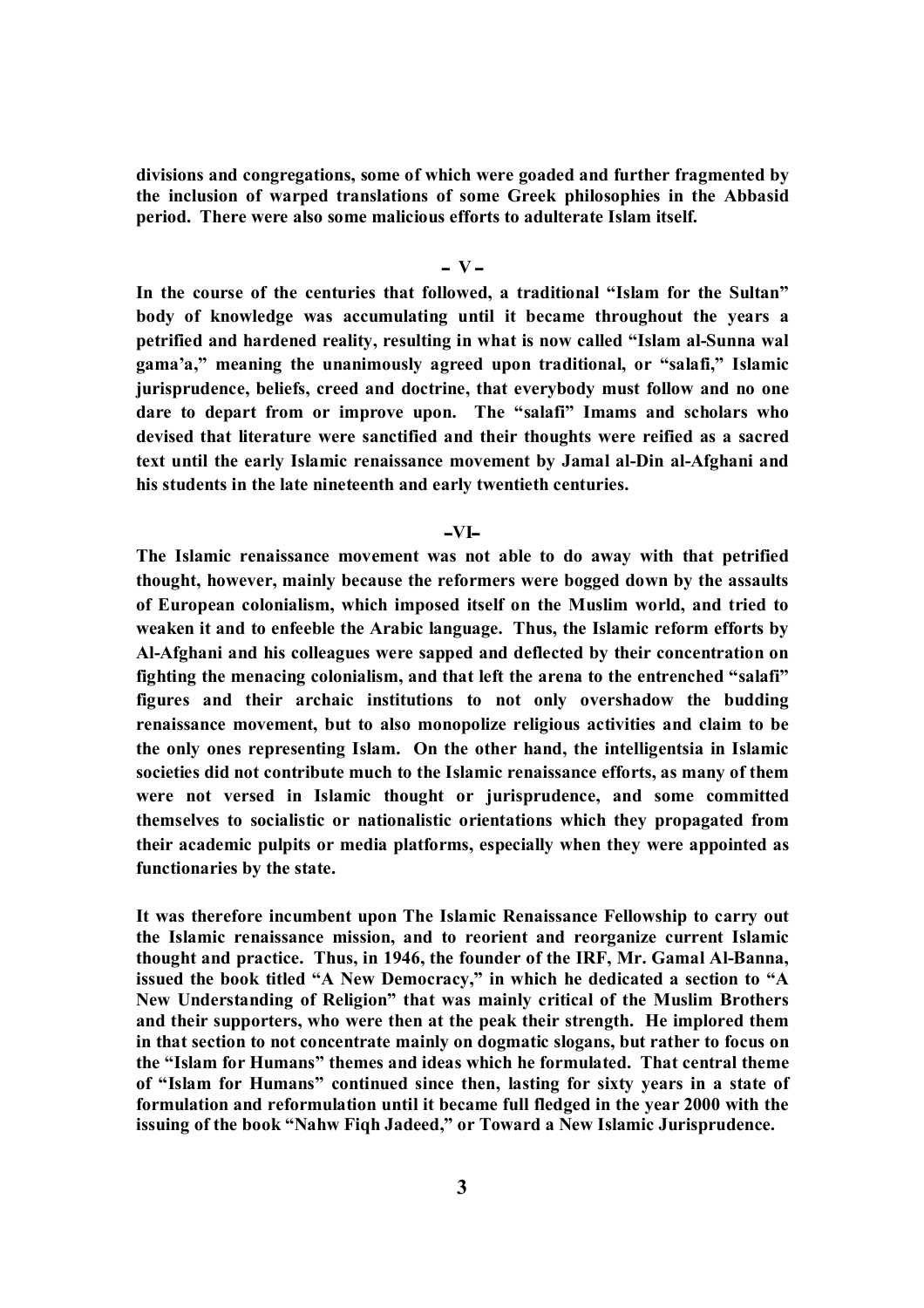**divisions and congregations, some of which were goaded and further fragmented by the inclusion of warped translations of some Greek philosophies in the Abbasid period. There were also some malicious efforts to adulterate Islam itself.**

# **ــ V ــ**

**In the course of the centuries that followed, a traditional "Islam for the Sultan" body of knowledge was accumulating until it became throughout the years a petrified and hardened reality, resulting in what is now called "Islam al-Sunna wal gama'a," meaning the unanimously agreed upon traditional, or "salafi," Islamic jurisprudence, beliefs, creed and doctrine, that everybody must follow and no one dare to depart from or improve upon. The "salafi" Imams and scholars who devised that literature were sanctified and their thoughts were reified as a sacred text until the early Islamic renaissance movement by Jamal al-Din al-Afghani and his students in the late nineteenth and early twentieth centuries.** 

#### **ــVIــ**

**The Islamic renaissance movement was not able to do away with that petrified thought, however, mainly because the reformers were bogged down by the assaults of European colonialism, which imposed itself on the Muslim world, and tried to weaken it and to enfeeble the Arabic language. Thus, the Islamic reform efforts by Al-Afghani and his colleagues were sapped and deflected by their concentration on fighting the menacing colonialism, and that left the arena to the entrenched "salafi" figures and their archaic institutions to not only overshadow the budding renaissance movement, but to also monopolize religious activities and claim to be the only ones representing Islam. On the other hand, the intelligentsia in Islamic societies did not contribute much to the Islamic renaissance efforts, as many of them were not versed in Islamic thought or jurisprudence, and some committed themselves to socialistic or nationalistic orientations which they propagated from their academic pulpits or media platforms, especially when they were appointed as functionaries by the state.** 

**It was therefore incumbent upon The Islamic Renaissance Fellowship to carry out the Islamic renaissance mission, and to reorient and reorganize current Islamic thought and practice. Thus, in 1946, the founder of the IRF, Mr. Gamal Al-Banna, issued the book titled "A New Democracy," in which he dedicated a section to "A New Understanding of Religion" that was mainly critical of the Muslim Brothers and their supporters, who were then at the peak their strength. He implored them in that section to not concentrate mainly on dogmatic slogans, but rather to focus on the "Islam for Humans" themes and ideas which he formulated. That central theme of "Islam for Humans" continued since then, lasting for sixty years in a state of formulation and reformulation until it became full fledged in the year 2000 with the issuing of the book "Nahw Fiqh Jadeed," or Toward a New Islamic Jurisprudence.**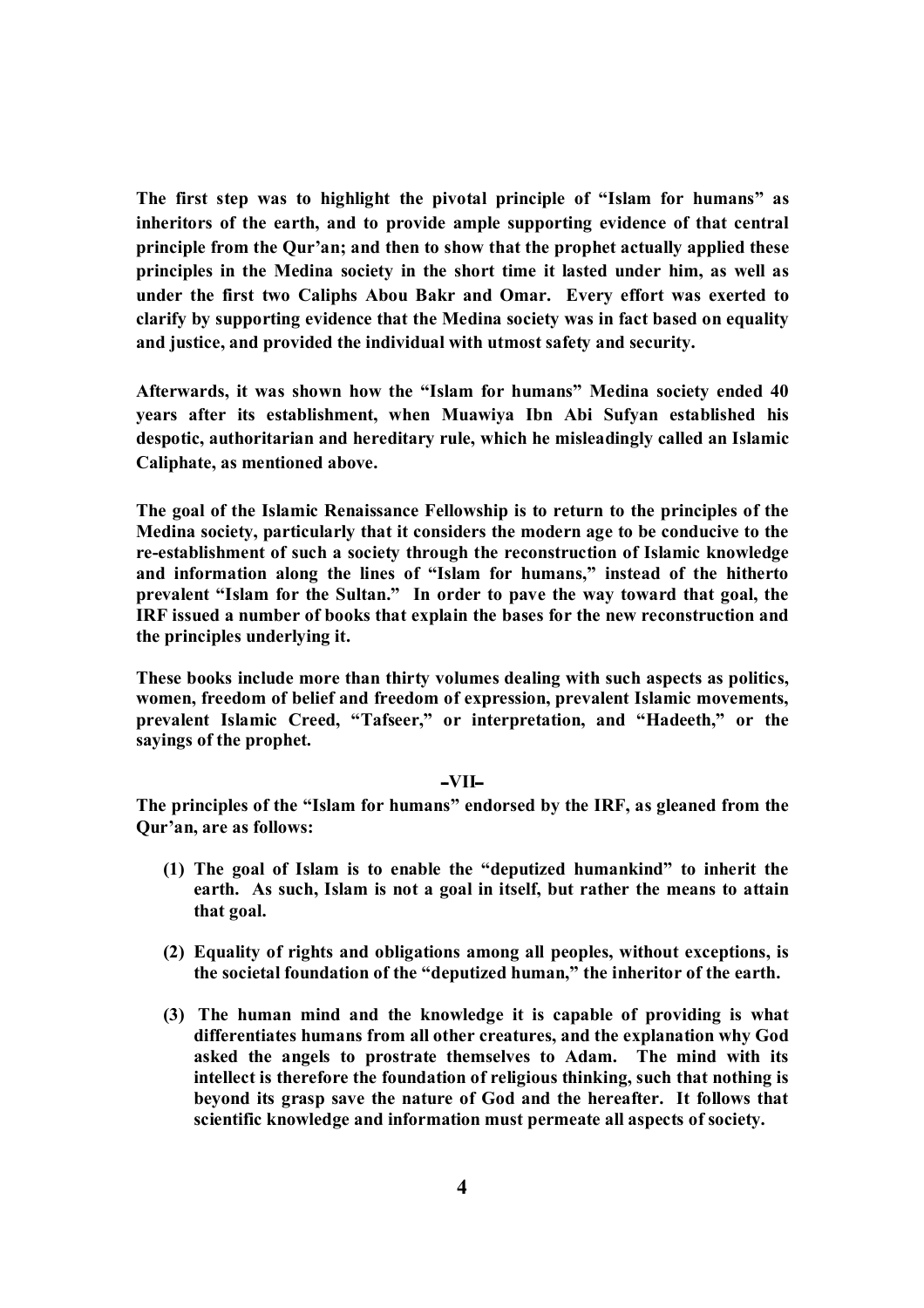**The first step was to highlight the pivotal principle of "Islam for humans" as inheritors of the earth, and to provide ample supporting evidence of that central principle from the Qur'an; and then to show that the prophet actually applied these principles in the Medina society in the short time it lasted under him, as well as under the first two Caliphs Abou Bakr and Omar. Every effort was exerted to clarify by supporting evidence that the Medina society was in fact based on equality and justice, and provided the individual with utmost safety and security.**

**Afterwards, it was shown how the "Islam for humans" Medina society ended 40 years after its establishment, when Muawiya Ibn Abi Sufyan established his despotic, authoritarian and hereditary rule, which he misleadingly called an Islamic Caliphate, as mentioned above.**

**The goal of the Islamic Renaissance Fellowship is to return to the principles of the Medina society, particularly that it considers the modern age to be conducive to the re-establishment of such a society through the reconstruction of Islamic knowledge and information along the lines of "Islam for humans," instead of the hitherto prevalent "Islam for the Sultan." In order to pave the way toward that goal, the IRF issued a number of books that explain the bases for the new reconstruction and the principles underlying it.**

**These books include more than thirty volumes dealing with such aspects as politics, women, freedom of belief and freedom of expression, prevalent Islamic movements, prevalent Islamic Creed, "Tafseer," or interpretation, and "Hadeeth," or the sayings of the prophet.** 

### **ــVIIــ**

**The principles of the "Islam for humans" endorsed by the IRF, as gleaned from the Qur'an, are as follows:**

- **(1) The goal of Islam is to enable the "deputized humankind" to inherit the earth. As such, Islam is not a goal in itself, but rather the means to attain that goal.**
- **(2) Equality of rights and obligations among all peoples, without exceptions, is the societal foundation of the "deputized human," the inheritor of the earth.**
- **(3) The human mind and the knowledge it is capable of providing is what differentiates humans from all other creatures, and the explanation why God asked the angels to prostrate themselves to Adam. The mind with its intellect is therefore the foundation of religious thinking, such that nothing is beyond its grasp save the nature of God and the hereafter. It follows that scientific knowledge and information must permeate all aspects of society.**